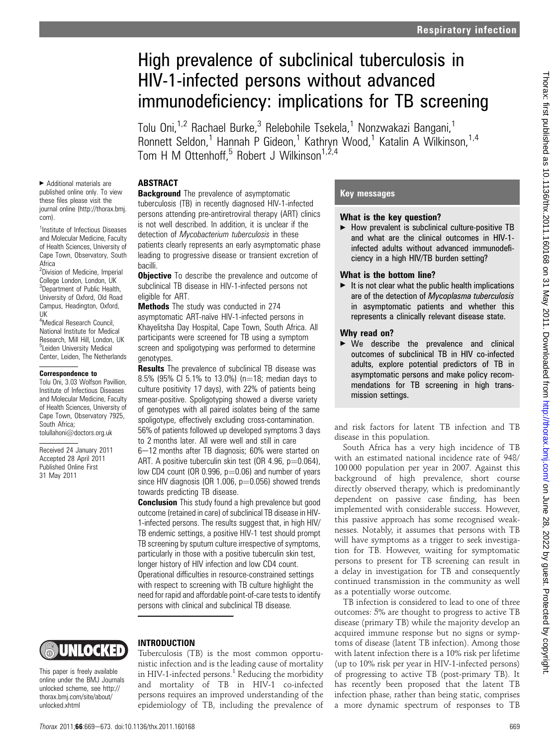# High prevalence of subclinical tuberculosis in HIV-1-infected persons without advanced immunodeficiency: implications for TB screening

Tolu Oni,<sup>1,2</sup> Rachael Burke,<sup>3</sup> Relebohile Tsekela,<sup>1</sup> Nonzwakazi Bangani,<sup>1</sup> Ronnett Seldon,<sup>1</sup> Hannah P Gideon,<sup>1</sup> Kathryn Wood,<sup>1</sup> Katalin A Wilkinson,<sup>1,4</sup> Tom H M Ottenhoff,<sup>5</sup> Robert J Wilkinson<sup>1,2,4</sup>

## ABSTRACT

< Additional materials are published online only. To view these files please visit the journal online (http://thorax.bmj. com).

<sup>1</sup>Institute of Infectious Diseases and Molecular Medicine, Faculty of Health Sciences, University of Cape Town, Observatory, South Africa

<sup>2</sup>Division of Medicine, Imperial College London, London, UK <sup>3</sup>Department of Public Health, University of Oxford, Old Road Campus, Headington, Oxford, UK

4 Medical Research Council, National Institute for Medical Research, Mill Hill, London, UK <sup>5</sup>Leiden University Medical Center, Leiden, The Netherlands

#### Correspondence to

Tolu Oni, 3.03 Wolfson Pavillion, Institute of Infectious Diseases and Molecular Medicine, Faculty of Health Sciences, University of Cape Town, Observatory 7925, South Africa; tolullahoni@doctors.org.uk

Received 24 January 2011 Accepted 28 April 2011 Published Online First 31 May 2011

**Background** The prevalence of asymptomatic tuberculosis (TB) in recently diagnosed HIV-1-infected persons attending pre-antiretroviral therapy (ART) clinics is not well described. In addition, it is unclear if the detection of Mycobacterium tuberculosis in these patients clearly represents an early asymptomatic phase leading to progressive disease or transient excretion of bacilli.

**Objective** To describe the prevalence and outcome of subclinical TB disease in HIV-1-infected persons not eligible for ART.

Methods The study was conducted in 274 asymptomatic ART-naïve HIV-1-infected persons in Khayelitsha Day Hospital, Cape Town, South Africa. All participants were screened for TB using a symptom screen and spoligotyping was performed to determine genotypes.

**Results** The prevalence of subclinical TB disease was 8.5% (95% CI 5.1% to 13.0%) (n=18; median days to culture positivity 17 days), with 22% of patients being smear-positive. Spoligotyping showed a diverse variety of genotypes with all paired isolates being of the same spoligotype, effectively excluding cross-contamination. 56% of patients followed up developed symptoms 3 days

to 2 months later. All were well and still in care

6-12 months after TB diagnosis; 60% were started on ART. A positive tuberculin skin test (OR 4.96,  $p=0.064$ ), low CD4 count (OR 0.996,  $p=0.06$ ) and number of years since HIV diagnosis (OR 1.006,  $p=0.056$ ) showed trends towards predicting TB disease.

**Conclusion** This study found a high prevalence but good outcome (retained in care) of subclinical TB disease in HIV-1-infected persons. The results suggest that, in high HIV/ TB endemic settings, a positive HIV-1 test should prompt TB screening by sputum culture irrespective of symptoms, particularly in those with a positive tuberculin skin test, longer history of HIV infection and low CD4 count. Operational difficulties in resource-constrained settings with respect to screening with TB culture highlight the need for rapid and affordable point-of-care tests to identify persons with clinical and subclinical TB disease.

# UNIOCKED

This paper is freely available online under the BMJ Journals unlocked scheme, see http:// thorax.bmj.com/site/about/ unlocked.xhtml

## INTRODUCTION

Tuberculosis (TB) is the most common opportunistic infection and is the leading cause of mortality in HIV-1-infected persons.<sup>1</sup> Reducing the morbidity and mortality of TB in HIV-1 co-infected persons requires an improved understanding of the epidemiology of TB, including the prevalence of

## Key messages

#### What is the key question?

 $\blacktriangleright$  How prevalent is subclinical culture-positive TB and what are the clinical outcomes in HIV-1 infected adults without advanced immunodeficiency in a high HIV/TB burden setting?

#### What is the bottom line?

 $\blacktriangleright$  It is not clear what the public health implications are of the detection of Mycoplasma tuberculosis in asymptomatic patients and whether this represents a clinically relevant disease state.

## Why read on?

 $\triangleright$  We describe the prevalence and clinical outcomes of subclinical TB in HIV co-infected adults, explore potential predictors of TB in asymptomatic persons and make policy recommendations for TB screening in high transmission settings.

and risk factors for latent TB infection and TB disease in this population.

South Africa has a very high incidence of TB with an estimated national incidence rate of 948/ 100 000 population per year in 2007. Against this background of high prevalence, short course directly observed therapy, which is predominantly dependent on passive case finding, has been implemented with considerable success. However, this passive approach has some recognised weaknesses. Notably, it assumes that persons with TB will have symptoms as a trigger to seek investigation for TB. However, waiting for symptomatic persons to present for TB screening can result in a delay in investigation for TB and consequently continued transmission in the community as well as a potentially worse outcome.

TB infection is considered to lead to one of three outcomes: 5% are thought to progress to active TB disease (primary TB) while the majority develop an acquired immune response but no signs or symptoms of disease (latent TB infection). Among those with latent infection there is a 10% risk per lifetime (up to 10% risk per year in HIV-1-infected persons) of progressing to active TB (post-primary TB). It has recently been proposed that the latent TB infection phase, rather than being static, comprises a more dynamic spectrum of responses to TB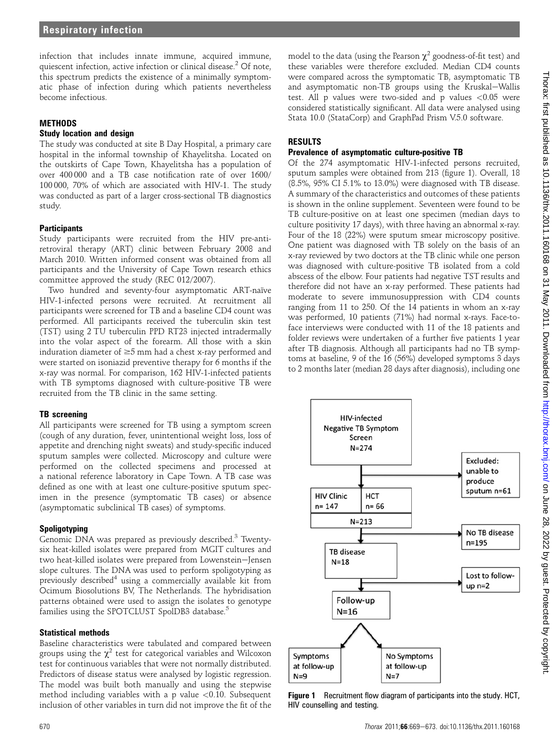infection that includes innate immune, acquired immune, quiescent infection, active infection or clinical disease.<sup>2</sup> Of note, this spectrum predicts the existence of a minimally symptomatic phase of infection during which patients nevertheless become infectious.

### **METHODS**

#### Study location and design

The study was conducted at site B Day Hospital, a primary care hospital in the informal township of Khayelitsha. Located on the outskirts of Cape Town, Khayelitsha has a population of over 400 000 and a TB case notification rate of over 1600/ 100 000, 70% of which are associated with HIV-1. The study was conducted as part of a larger cross-sectional TB diagnostics study.

## **Participants**

Study participants were recruited from the HIV pre-antiretroviral therapy (ART) clinic between February 2008 and March 2010. Written informed consent was obtained from all participants and the University of Cape Town research ethics committee approved the study (REC 012/2007).

Two hundred and seventy-four asymptomatic ART-naïve HIV-1-infected persons were recruited. At recruitment all participants were screened for TB and a baseline CD4 count was performed. All participants received the tuberculin skin test (TST) using 2 TU tuberculin PPD RT23 injected intradermally into the volar aspect of the forearm. All those with a skin induration diameter of  $\geq$ 5 mm had a chest x-ray performed and were started on isoniazid preventive therapy for 6 months if the x-ray was normal. For comparison, 162 HIV-1-infected patients with TB symptoms diagnosed with culture-positive TB were recruited from the TB clinic in the same setting.

## TB screening

All participants were screened for TB using a symptom screen (cough of any duration, fever, unintentional weight loss, loss of appetite and drenching night sweats) and study-specific induced sputum samples were collected. Microscopy and culture were performed on the collected specimens and processed at a national reference laboratory in Cape Town. A TB case was defined as one with at least one culture-positive sputum specimen in the presence (symptomatic TB cases) or absence (asymptomatic subclinical TB cases) of symptoms.

## Spoligotyping

Genomic DNA was prepared as previously described.<sup>3</sup> Twentysix heat-killed isolates were prepared from MGIT cultures and two heat-killed isolates were prepared from Lowenstein-Jensen slope cultures. The DNA was used to perform spoligotyping as previously described<sup>4</sup> using a commercially available kit from Ocimum Biosolutions BV, The Netherlands. The hybridisation patterns obtained were used to assign the isolates to genotype families using the SPOTCLUST SpolDB3 database.<sup>5</sup>

## Statistical methods

Baseline characteristics were tabulated and compared between groups using the  $\chi^2$  test for categorical variables and Wilcoxon test for continuous variables that were not normally distributed. Predictors of disease status were analysed by logistic regression. The model was built both manually and using the stepwise method including variables with a p value  $\langle 0.10$ . Subsequent inclusion of other variables in turn did not improve the fit of the

model to the data (using the Pearson  $\chi^2$  goodness-of-fit test) and these variables were therefore excluded. Median CD4 counts were compared across the symptomatic TB, asymptomatic TB and asymptomatic non-TB groups using the Kruskal-Wallis test. All p values were two-sided and p values <0.05 were considered statistically significant. All data were analysed using Stata 10.0 (StataCorp) and GraphPad Prism V.5.0 software.

## RESULTS

## Prevalence of asymptomatic culture-positive TB

Of the 274 asymptomatic HIV-1-infected persons recruited, sputum samples were obtained from 213 (figure 1). Overall, 18 (8.5%, 95% CI 5.1% to 13.0%) were diagnosed with TB disease. A summary of the characteristics and outcomes of these patients is shown in the online supplement. Seventeen were found to be TB culture-positive on at least one specimen (median days to culture positivity 17 days), with three having an abnormal x-ray. Four of the 18 (22%) were sputum smear microscopy positive. One patient was diagnosed with TB solely on the basis of an x-ray reviewed by two doctors at the TB clinic while one person was diagnosed with culture-positive TB isolated from a cold abscess of the elbow. Four patients had negative TST results and therefore did not have an x-ray performed. These patients had moderate to severe immunosuppression with CD4 counts ranging from 11 to 250. Of the 14 patients in whom an x-ray was performed, 10 patients (71%) had normal x-rays. Face-toface interviews were conducted with 11 of the 18 patients and folder reviews were undertaken of a further five patients 1 year after TB diagnosis. Although all participants had no TB symptoms at baseline, 9 of the 16 (56%) developed symptoms 3 days to 2 months later (median 28 days after diagnosis), including one



**Figure 1** Recruitment flow diagram of participants into the study. HCT, HIV counselling and testing.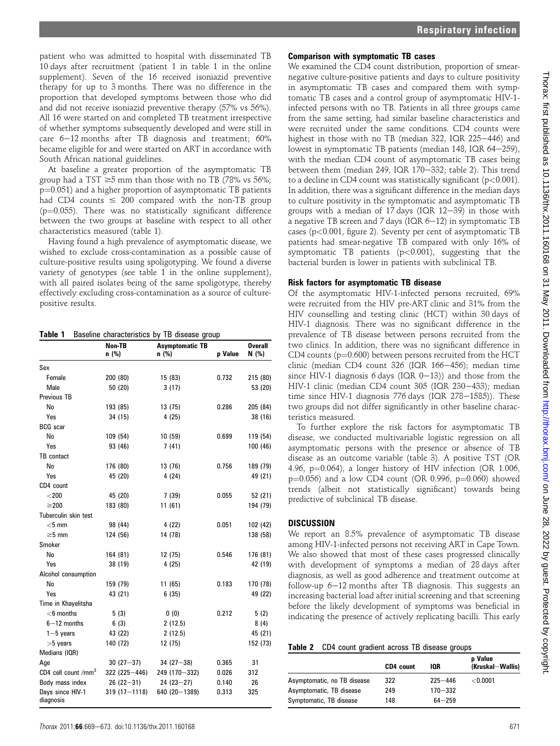patient who was admitted to hospital with disseminated TB 10 days after recruitment (patient 1 in table 1 in the online supplement). Seven of the 16 received isoniazid preventive therapy for up to 3 months. There was no difference in the proportion that developed symptoms between those who did and did not receive isoniazid preventive therapy (57% vs 56%). All 16 were started on and completed TB treatment irrespective of whether symptoms subsequently developed and were still in care  $6-12$  months after TB diagnosis and treatment;  $60\%$ became eligible for and were started on ART in accordance with South African national guidelines.

At baseline a greater proportion of the asymptomatic TB group had a TST  $\geq$ 5 mm than those with no TB (78% vs 56%;  $p=0.051$ ) and a higher proportion of asymptomatic TB patients had CD4 counts  $\leq 200$  compared with the non-TB group  $(p=0.055)$ . There was no statistically significant difference between the two groups at baseline with respect to all other characteristics measured (table 1).

Having found a high prevalence of asymptomatic disease, we wished to exclude cross-contamination as a possible cause of culture-positive results using spoligotyping. We found a diverse variety of genotypes (see table 1 in the online supplement), with all paired isolates being of the same spoligotype, thereby effectively excluding cross-contamination as a source of culturepositive results.

Table 1 Baseline characteristics by TB disease group

|                               | Non-TB           | <b>Asymptomatic TB</b> |         | <b>Overall</b> |
|-------------------------------|------------------|------------------------|---------|----------------|
|                               | n (%)            | n (%)                  | p Value | N(% )          |
| Sex                           |                  |                        |         |                |
| Female                        | 200 (80)         | 15 (83)                | 0.732   | 215 (80)       |
| Male                          | 50 (20)          | 3(17)                  |         | 53 (20)        |
| Previous TB                   |                  |                        |         |                |
| No                            | 193 (85)         | 13 (75)                | 0.286   | 205 (84)       |
| Yes                           | 34 (15)          | 4(25)                  |         | 38 (16)        |
| <b>BCG</b> scar               |                  |                        |         |                |
| No                            | 109 (54)         | 10(59)                 | 0.699   | 119 (54)       |
| Yes                           | 93 (46)          | 7(41)                  |         | 100 (46)       |
| TB contact                    |                  |                        |         |                |
| No                            | 176 (80)         | 13 (76)                | 0.756   | 189 (79)       |
| Yes                           | 45 (20)          | 4(24)                  |         | 49 (21)        |
| CD4 count                     |                  |                        |         |                |
| $<$ 200                       | 45 (20)          | 7(39)                  | 0.055   | 52 (21)        |
| $\geq$ 200                    | 183 (80)         | 11(61)                 |         | 194 (79)       |
| Tuberculin skin test          |                  |                        |         |                |
| $<$ 5 mm                      | 98 (44)          | 4 (22)                 | 0.051   | 102 (42)       |
| $\geq$ 5 mm                   | 124 (56)         | 14 (78)                |         | 138 (58)       |
| Smoker                        |                  |                        |         |                |
| No                            | 164 (81)         | 12 (75)                | 0.546   | 176 (81)       |
| Yes                           | 38 (19)          | 4(25)                  |         | 42 (19)        |
| Alcohol consumption           |                  |                        |         |                |
| No                            | 159 (79)         | 11(65)                 | 0.183   | 170 (78)       |
| Yes                           | 43 (21)          | 6(35)                  |         | 49 (22)        |
| Time in Khayelitsha           |                  |                        |         |                |
| $<$ 6 months                  | 5(3)             | 0(0)                   | 0.212   | 5(2)           |
| $6 - 12$ months               | 6(3)             | 2(12.5)                |         | 8(4)           |
| $1 - 5$ years                 | 43 (22)          | 2(12.5)                |         | 45 (21)        |
| $>5$ years                    | 140 (72)         | 12 (75)                |         | 152 (73)       |
| Medians (IQR)                 |                  |                        |         |                |
| Age                           | $30(27-37)$      | $34(27 - 38)$          | 0.365   | 31             |
| CD4 cell count / $mm3$        | 322 (225-446)    | 249 (170-332)          | 0.026   | 312            |
| Body mass index               | $26(22 - 31)$    | $24(23 - 27)$          | 0.140   | 26             |
| Days since HIV-1<br>diagnosis | $319(17 - 1118)$ | 640 (20 - 1389)        | 0.313   | 325            |

#### Comparison with symptomatic TB cases

We examined the CD4 count distribution, proportion of smearnegative culture-positive patients and days to culture positivity in asymptomatic TB cases and compared them with symptomatic TB cases and a control group of asymptomatic HIV-1 infected persons with no TB. Patients in all three groups came from the same setting, had similar baseline characteristics and were recruited under the same conditions. CD4 counts were highest in those with no TB (median 322, IQR  $225-446$ ) and lowest in symptomatic TB patients (median 148, IQR 64-259), with the median CD4 count of asymptomatic TB cases being between them (median 249, IQR 170-332; table 2). This trend to a decline in CD4 count was statistically significant ( $p$ <0.001). In addition, there was a significant difference in the median days to culture positivity in the symptomatic and asymptomatic TB groups with a median of 17 days (IQR  $12-39$ ) in those with a negative TB screen and 7 days (IQR  $6-12$ ) in symptomatic TB cases (p<0.001, figure 2). Seventy per cent of asymptomatic TB patients had smear-negative TB compared with only 16% of symptomatic TB patients (p<0.001), suggesting that the bacterial burden is lower in patients with subclinical TB.

## Risk factors for asymptomatic TB disease

Of the asymptomatic HIV-1-infected persons recruited, 69% were recruited from the HIV pre-ART clinic and 31% from the HIV counselling and testing clinic (HCT) within 30 days of HIV-1 diagnosis. There was no significant difference in the prevalence of TB disease between persons recruited from the two clinics. In addition, there was no significant difference in CD4 counts ( $p=0.600$ ) between persons recruited from the HCT clinic (median CD4 count  $326$  (IQR  $166-456$ ); median time since HIV-1 diagnosis 6 days (IQR  $0-13$ )) and those from the HIV-1 clinic (median CD4 count 305 (IQR 230-433); median time since HIV-1 diagnosis 776 days (IQR  $278-1585$ )). These two groups did not differ significantly in other baseline characteristics measured.

To further explore the risk factors for asymptomatic TB disease, we conducted multivariable logistic regression on all asymptomatic persons with the presence or absence of TB disease as an outcome variable (table 3). A positive TST (OR 4.96,  $p=0.064$ ), a longer history of HIV infection (OR 1.006,  $p=0.056$ ) and a low CD4 count (OR 0.996,  $p=0.060$ ) showed trends (albeit not statistically significant) towards being predictive of subclinical TB disease.

#### DISCUSSION

We report an 8.5% prevalence of asymptomatic TB disease among HIV-1-infected persons not receiving ART in Cape Town. We also showed that most of these cases progressed clinically with development of symptoms a median of 28 days after diagnosis, as well as good adherence and treatment outcome at follow-up  $6-12$  months after TB diagnosis. This suggests an increasing bacterial load after initial screening and that screening before the likely development of symptoms was beneficial in indicating the presence of actively replicating bacilli. This early

|  |  | Table 2 CD4 count gradient across TB disease groups |  |  |
|--|--|-----------------------------------------------------|--|--|
|--|--|-----------------------------------------------------|--|--|

|                             | CD4 count | IOR         | p Value<br>(Kruskal-Wallis) |
|-----------------------------|-----------|-------------|-----------------------------|
| Asymptomatic, no TB disease | 322       | $225 - 446$ | $<$ 0.0001 $\,$             |
| Asymptomatic, TB disease    | 249       | $170 - 332$ |                             |
| Symptomatic, TB disease     | 148       | $64 - 259$  |                             |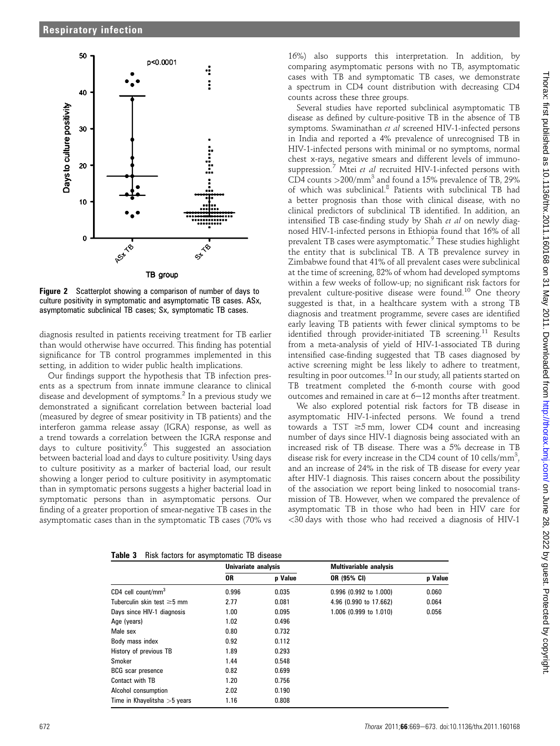

Figure 2 Scatterplot showing a comparison of number of days to culture positivity in symptomatic and asymptomatic TB cases. ASx, asymptomatic subclinical TB cases; Sx, symptomatic TB cases.

diagnosis resulted in patients receiving treatment for TB earlier than would otherwise have occurred. This finding has potential significance for TB control programmes implemented in this setting, in addition to wider public health implications.

Our findings support the hypothesis that TB infection presents as a spectrum from innate immune clearance to clinical disease and development of symptoms.<sup>2</sup> In a previous study we demonstrated a significant correlation between bacterial load (measured by degree of smear positivity in TB patients) and the interferon gamma release assay (IGRA) response, as well as a trend towards a correlation between the IGRA response and days to culture positivity.<sup>6</sup> This suggested an association between bacterial load and days to culture positivity. Using days to culture positivity as a marker of bacterial load, our result showing a longer period to culture positivity in asymptomatic than in symptomatic persons suggests a higher bacterial load in symptomatic persons than in asymptomatic persons. Our finding of a greater proportion of smear-negative TB cases in the asymptomatic cases than in the symptomatic TB cases (70% vs

16%) also supports this interpretation. In addition, by comparing asymptomatic persons with no TB, asymptomatic cases with TB and symptomatic TB cases, we demonstrate a spectrum in CD4 count distribution with decreasing CD4 counts across these three groups.

Several studies have reported subclinical asymptomatic TB disease as defined by culture-positive TB in the absence of TB symptoms. Swaminathan et al screened HIV-1-infected persons in India and reported a 4% prevalence of unrecognised TB in HIV-1-infected persons with minimal or no symptoms, normal chest x-rays, negative smears and different levels of immunosuppression.<sup>7</sup> Mtei et al recruited HIV-1-infected persons with CD4 counts  $>$  200/mm<sup>3</sup> and found a 15% prevalence of TB, 29% of which was subclinical.<sup>8</sup> Patients with subclinical TB had a better prognosis than those with clinical disease, with no clinical predictors of subclinical TB identified. In addition, an intensified TB case-finding study by Shah et al on newly diagnosed HIV-1-infected persons in Ethiopia found that 16% of all prevalent TB cases were asymptomatic.<sup>9</sup> These studies highlight the entity that is subclinical TB. A TB prevalence survey in Zimbabwe found that 41% of all prevalent cases were subclinical at the time of screening, 82% of whom had developed symptoms within a few weeks of follow-up; no significant risk factors for prevalent culture-positive disease were found.<sup>10</sup> One theory suggested is that, in a healthcare system with a strong TB diagnosis and treatment programme, severe cases are identified early leaving TB patients with fewer clinical symptoms to be identified through provider-initiated TB screening.<sup>11</sup> Results from a meta-analysis of yield of HIV-1-associated TB during intensified case-finding suggested that TB cases diagnosed by active screening might be less likely to adhere to treatment, resulting in poor outcomes.<sup>12</sup> In our study, all patients started on TB treatment completed the 6-month course with good outcomes and remained in care at  $6-12$  months after treatment.

We also explored potential risk factors for TB disease in asymptomatic HIV-1-infected persons. We found a trend towards a TST  $\geq 5$  mm, lower CD4 count and increasing number of days since HIV-1 diagnosis being associated with an increased risk of TB disease. There was a 5% decrease in TB disease risk for every increase in the CD4 count of 10 cells/mm<sup>3</sup>, and an increase of 24% in the risk of TB disease for every year after HIV-1 diagnosis. This raises concern about the possibility of the association we report being linked to nosocomial transmission of TB. However, when we compared the prevalence of asymptomatic TB in those who had been in HIV care for <30 days with those who had received a diagnosis of HIV-1

|  |  |  |  | Table 3 Risk factors for asymptomatic TB disease |  |  |
|--|--|--|--|--------------------------------------------------|--|--|
|--|--|--|--|--------------------------------------------------|--|--|

|                                  | Univariate analysis |         | <b>Multivariable analysis</b> |         |  |
|----------------------------------|---------------------|---------|-------------------------------|---------|--|
|                                  | 0R                  | p Value | OR (95% CI)                   | p Value |  |
| $CD4$ cell count/mm <sup>3</sup> | 0.996               | 0.035   | 0.996 (0.992 to 1.000)        | 0.060   |  |
| Tuberculin skin test $\geq$ 5 mm | 2.77                | 0.081   | 4.96 (0.990 to 17.662)        | 0.064   |  |
| Days since HIV-1 diagnosis       | 1.00                | 0.095   | 1.006 (0.999 to 1.010)        | 0.056   |  |
| Age (years)                      | 1.02                | 0.496   |                               |         |  |
| Male sex                         | 0.80                | 0.732   |                               |         |  |
| Body mass index                  | 0.92                | 0.112   |                               |         |  |
| History of previous TB           | 1.89                | 0.293   |                               |         |  |
| Smoker                           | 1.44                | 0.548   |                               |         |  |
| <b>BCG</b> scar presence         | 0.82                | 0.699   |                               |         |  |
| Contact with TB                  | 1.20                | 0.756   |                               |         |  |
| Alcohol consumption              | 2.02                | 0.190   |                               |         |  |
| Time in Khayelitsha $>5$ years   | 1.16                | 0.808   |                               |         |  |